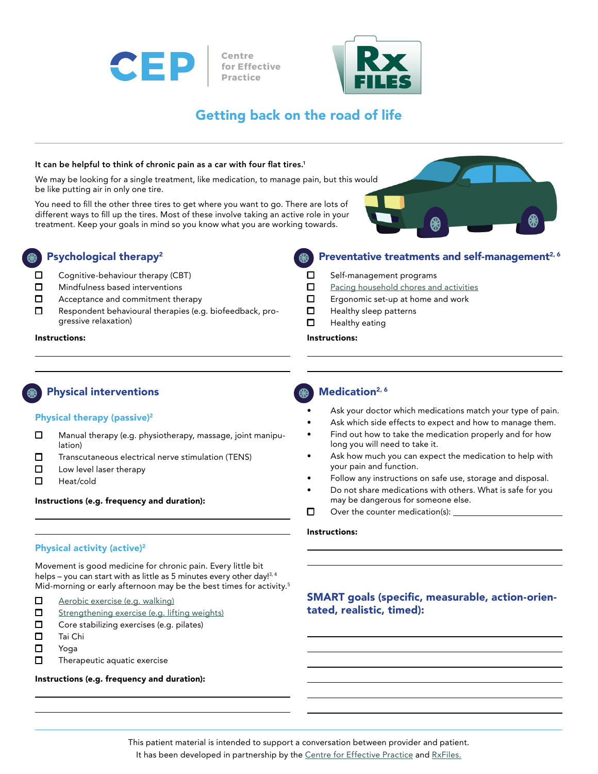



# Getting back on the road of life

#### It can be helpful to think of chronic pain as a car with four flat tires.<sup>1</sup>

We may be looking for a single treatment, like medication, to manage pain, but this would be like putting air in only one tire.

You need to fill the other three tires to get where you want to go. There are lots of different ways to fill up the tires. Most of these involve taking an active role in your treatment. Keep your goals in mind so you know what you are working towards.



## Psychological therapy2

- $\Box$  Cognitive-behaviour therapy (CBT)
- $\Box$  Mindfulness based interventions
- $\Box$  Acceptance and commitment therapy
- □ Respondent behavioural therapies (e.g. biofeedback, progressive relaxation)

## Preventative treatments and self-management<sup>2, 6</sup>

- □ Self-management programs
- □ [Pacing household chores and activities](http://hamiltonhealthsciences.ca/documents/Patient%20Education/PainClinicHouseholdChores-th.pdf)
- $\Box$  Ergonomic set-up at home and work
- $\Box$  Healthy sleep patterns
- Ƿ Healthy eating

#### Instructions: Instructions:

# Physical interventions

#### Physical therapy (passive)<sup>2</sup>

- □ Manual therapy (e.g. physiotherapy, massage, joint manipulation)
- □ Transcutaneous electrical nerve stimulation (TENS)
- $\Box$  Low level laser therapy
- Ƿ Heat/cold

#### Instructions (e.g. frequency and duration):

### Physical activity (active)2

Movement is good medicine for chronic pain. Every little bit helps – you can start with as little as 5 minutes every other day!<sup>3, 4</sup> Mid-morning or early afternoon may be the best times for activity.<sup>5</sup>

- □ [Aerobic exercise \(e.g. walking\)](http://www.rxfiles.ca/rxfiles/uploads/documents/Exercise-RxFiles-Rx.pdf)
- □ [Strengthening exercise \(e.g. lifting weights\)](http://www.rxfiles.ca/rxfiles/uploads/documents/Exercise-RxFiles-Rx.pdf)
- Ƿ Core stabilizing exercises (e.g. pilates)
- □ Tai Chi
- Ƿ Yoga
- $\Box$  Therapeutic aquatic exercise

#### Instructions (e.g. frequency and duration):

## **Medication**<sup>2, 6</sup>

- Ask your doctor which medications match your type of pain.
- Ask which side effects to expect and how to manage them.
- Find out how to take the medication properly and for how long you will need to take it.
- Ask how much you can expect the medication to help with your pain and function.
- Follow any instructions on safe use, storage and disposal.
- Do not share medications with others. What is safe for you may be dangerous for someone else.
- $\Box$  Over the counter medication(s):  $\Box$

#### Instructions:

## SMART goals (specific, measurable, action-orientated, realistic, timed):

This patient material is intended to support a conversation between provider and patient. It has been developed in partnership by the [Centre for Effective Practice](http://thewellhealth.ca/academicdetailing) and [RxFiles](http://rxfiles.ca).